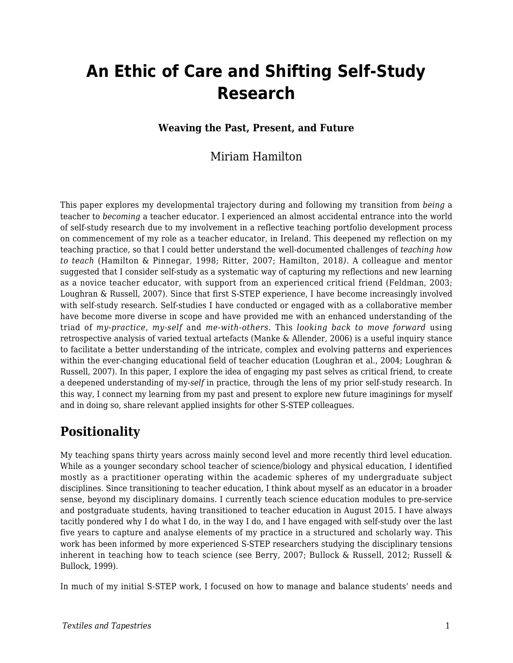# **An Ethic of Care and Shifting Self-Study Research**

#### **Weaving the Past, Present, and Future**

#### Miriam Hamilton

This paper explores my developmental trajectory during and following my transition from *being* a teacher to *becoming* a teacher educator. I experienced an almost accidental entrance into the world of self-study research due to my involvement in a reflective teaching portfolio development process on commencement of my role as a teacher educator, in Ireland. This deepened my reflection on my teaching practice, so that I could better understand the well-documented challenges of *teaching how to teach* (Hamilton & Pinnegar, 1998; Ritter, 2007; Hamilton, 2018*)*. A colleague and mentor suggested that I consider self-study as a systematic way of capturing my reflections and new learning as a novice teacher educator, with support from an experienced critical friend (Feldman, 2003; Loughran & Russell, 2007). Since that first S-STEP experience, I have become increasingly involved with self-study research. Self-studies I have conducted or engaged with as a collaborative member have become more diverse in scope and have provided me with an enhanced understanding of the triad of *my-practice, my-self* and *me-with-others.* This *looking back to move forward* using retrospective analysis of varied textual artefacts (Manke & Allender, 2006) is a useful inquiry stance to facilitate a better understanding of the intricate, complex and evolving patterns and experiences within the ever-changing educational field of teacher education (Loughran et al., 2004; Loughran & Russell, 2007). In this paper, I explore the idea of engaging my past selves as critical friend, to create a deepened understanding of my-*self* in practice, through the lens of my prior self-study research. In this way, I connect my learning from my past and present to explore new future imaginings for myself and in doing so, share relevant applied insights for other S-STEP colleagues.

#### **Positionality**

My teaching spans thirty years across mainly second level and more recently third level education. While as a younger secondary school teacher of science/biology and physical education, I identified mostly as a practitioner operating within the academic spheres of my undergraduate subject disciplines. Since transitioning to teacher education, I think about myself as an educator in a broader sense, beyond my disciplinary domains. I currently teach science education modules to pre-service and postgraduate students, having transitioned to teacher education in August 2015. I have always tacitly pondered why I do what I do, in the way I do, and I have engaged with self-study over the last five years to capture and analyse elements of my practice in a structured and scholarly way. This work has been informed by more experienced S-STEP researchers studying the disciplinary tensions inherent in teaching how to teach science (see Berry, 2007; Bullock & Russell, 2012; Russell & Bullock, 1999).

In much of my initial S-STEP work, I focused on how to manage and balance students' needs and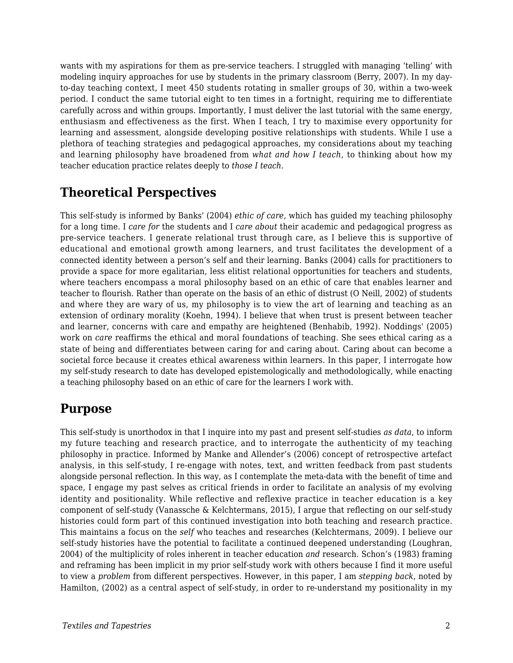wants with my aspirations for them as pre-service teachers. I struggled with managing 'telling' with modeling inquiry approaches for use by students in the primary classroom (Berry, 2007). In my dayto-day teaching context, I meet 450 students rotating in smaller groups of 30, within a two-week period. I conduct the same tutorial eight to ten times in a fortnight, requiring me to differentiate carefully across and within groups. Importantly, I must deliver the last tutorial with the same energy, enthusiasm and effectiveness as the first. When I teach, I try to maximise every opportunity for learning and assessment, alongside developing positive relationships with students. While I use a plethora of teaching strategies and pedagogical approaches, my considerations about my teaching and learning philosophy have broadened from *what and how I teach*, to thinking about how my teacher education practice relates deeply to *those I teach.*

## **Theoretical Perspectives**

This self-study is informed by Banks' (2004) *ethic of care,* which has guided my teaching philosophy for a long time. I *care for* the students and I *care about* their academic and pedagogical progress as pre-service teachers. I generate relational trust through care, as I believe this is supportive of educational and emotional growth among learners, and trust facilitates the development of a connected identity between a person's self and their learning. Banks (2004) calls for practitioners to provide a space for more egalitarian, less elitist relational opportunities for teachers and students, where teachers encompass a moral philosophy based on an ethic of care that enables learner and teacher to flourish. Rather than operate on the basis of an ethic of distrust (O Neill, 2002) of students and where they are wary of us, my philosophy is to view the art of learning and teaching as an extension of ordinary morality (Koehn, 1994). I believe that when trust is present between teacher and learner, concerns with care and empathy are heightened (Benhabib, 1992). Noddings' (2005) work on *care* reaffirms the ethical and moral foundations of teaching. She sees ethical caring as a state of being and differentiates between caring for and caring about. Caring about can become a societal force because it creates ethical awareness within learners. In this paper, I interrogate how my self-study research to date has developed epistemologically and methodologically, while enacting a teaching philosophy based on an ethic of care for the learners I work with.

### **Purpose**

This self-study is unorthodox in that I inquire into my past and present self-studies *as data*, to inform my future teaching and research practice, and to interrogate the authenticity of my teaching philosophy in practice. Informed by Manke and Allender's (2006) concept of retrospective artefact analysis, in this self-study, I re-engage with notes, text, and written feedback from past students alongside personal reflection. In this way, as I contemplate the meta-data with the benefit of time and space, I engage my past selves as critical friends in order to facilitate an analysis of my evolving identity and positionality. While reflective and reflexive practice in teacher education is a key component of self-study (Vanassche & Kelchtermans, 2015), I argue that reflecting on our self-study histories could form part of this continued investigation into both teaching and research practice. This maintains a focus on the *self* who teaches and researches (Kelchtermans, 2009). I believe our self-study histories have the potential to facilitate a continued deepened understanding (Loughran, 2004) of the multiplicity of roles inherent in teacher education *and* research. Schon's (1983) framing and reframing has been implicit in my prior self-study work with others because I find it more useful to view a *problem* from different perspectives. However, in this paper, I am *stepping back*, noted by Hamilton, (2002) as a central aspect of self-study, in order to re-understand my positionality in my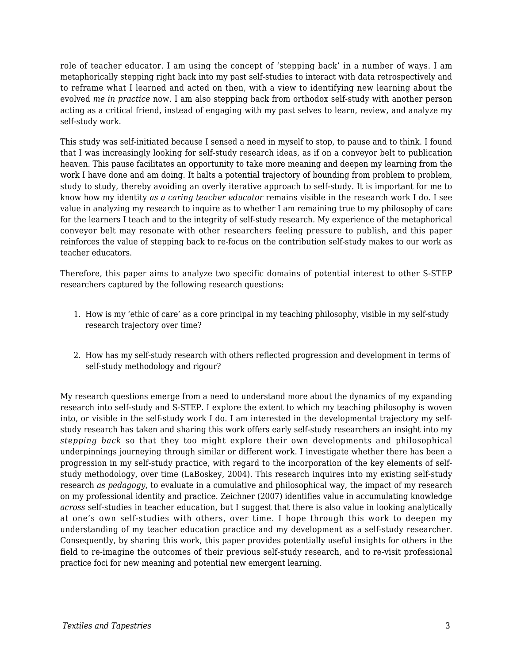role of teacher educator. I am using the concept of 'stepping back' in a number of ways. I am metaphorically stepping right back into my past self-studies to interact with data retrospectively and to reframe what I learned and acted on then, with a view to identifying new learning about the evolved *me in practice* now. I am also stepping back from orthodox self-study with another person acting as a critical friend, instead of engaging with my past selves to learn, review, and analyze my self-study work.

This study was self-initiated because I sensed a need in myself to stop, to pause and to think. I found that I was increasingly looking for self-study research ideas, as if on a conveyor belt to publication heaven. This pause facilitates an opportunity to take more meaning and deepen my learning from the work I have done and am doing. It halts a potential trajectory of bounding from problem to problem, study to study, thereby avoiding an overly iterative approach to self-study. It is important for me to know how my identity *as a caring teacher educator* remains visible in the research work I do. I see value in analyzing my research to inquire as to whether I am remaining true to my philosophy of care for the learners I teach and to the integrity of self-study research. My experience of the metaphorical conveyor belt may resonate with other researchers feeling pressure to publish, and this paper reinforces the value of stepping back to re-focus on the contribution self-study makes to our work as teacher educators.

Therefore, this paper aims to analyze two specific domains of potential interest to other S-STEP researchers captured by the following research questions:

- 1. How is my 'ethic of care' as a core principal in my teaching philosophy, visible in my self-study research trajectory over time?
- 2. How has my self-study research with others reflected progression and development in terms of self-study methodology and rigour?

My research questions emerge from a need to understand more about the dynamics of my expanding research into self-study and S-STEP. I explore the extent to which my teaching philosophy is woven into, or visible in the self-study work I do. I am interested in the developmental trajectory my selfstudy research has taken and sharing this work offers early self-study researchers an insight into my *stepping back* so that they too might explore their own developments and philosophical underpinnings journeying through similar or different work. I investigate whether there has been a progression in my self-study practice, with regard to the incorporation of the key elements of selfstudy methodology, over time (LaBoskey, 2004). This research inquires into my existing self-study research *as pedagogy*, to evaluate in a cumulative and philosophical way, the impact of my research on my professional identity and practice. Zeichner (2007) identifies value in accumulating knowledge *across* self-studies in teacher education, but I suggest that there is also value in looking analytically at one's own self-studies with others, over time. I hope through this work to deepen my understanding of my teacher education practice and my development as a self-study researcher. Consequently, by sharing this work, this paper provides potentially useful insights for others in the field to re-imagine the outcomes of their previous self-study research, and to re-visit professional practice foci for new meaning and potential new emergent learning.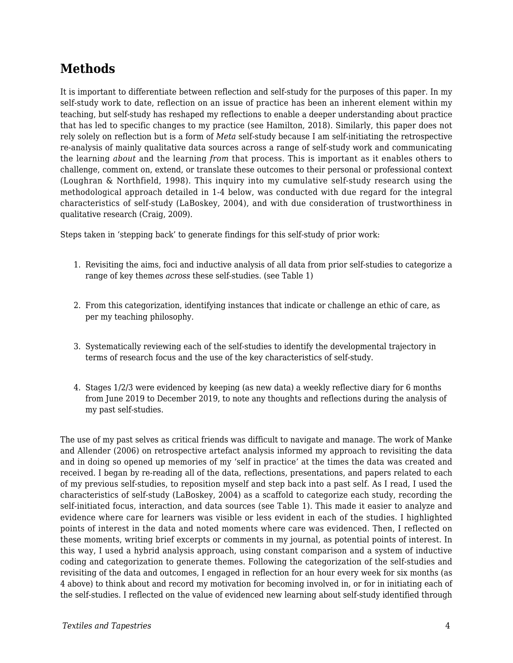### **Methods**

It is important to differentiate between reflection and self-study for the purposes of this paper. In my self-study work to date, reflection on an issue of practice has been an inherent element within my teaching, but self-study has reshaped my reflections to enable a deeper understanding about practice that has led to specific changes to my practice (see Hamilton, 2018). Similarly, this paper does not rely solely on reflection but is a form of *Meta* self-study because I am self-initiating the retrospective re-analysis of mainly qualitative data sources across a range of self-study work and communicating the learning *about* and the learning *from* that process. This is important as it enables others to challenge, comment on, extend, or translate these outcomes to their personal or professional context (Loughran & Northfield, 1998). This inquiry into my cumulative self-study research using the methodological approach detailed in 1-4 below, was conducted with due regard for the integral characteristics of self-study (LaBoskey, 2004), and with due consideration of trustworthiness in qualitative research (Craig, 2009).

Steps taken in 'stepping back' to generate findings for this self-study of prior work:

- 1. Revisiting the aims, foci and inductive analysis of all data from prior self-studies to categorize a range of key themes *across* these self-studies. (see Table 1)
- 2. From this categorization, identifying instances that indicate or challenge an ethic of care, as per my teaching philosophy.
- 3. Systematically reviewing each of the self-studies to identify the developmental trajectory in terms of research focus and the use of the key characteristics of self-study.
- 4. Stages 1/2/3 were evidenced by keeping (as new data) a weekly reflective diary for 6 months from June 2019 to December 2019, to note any thoughts and reflections during the analysis of my past self-studies.

The use of my past selves as critical friends was difficult to navigate and manage. The work of Manke and Allender (2006) on retrospective artefact analysis informed my approach to revisiting the data and in doing so opened up memories of my 'self in practice' at the times the data was created and received. I began by re-reading all of the data, reflections, presentations, and papers related to each of my previous self-studies, to reposition myself and step back into a past self. As I read, I used the characteristics of self-study (LaBoskey, 2004) as a scaffold to categorize each study, recording the self-initiated focus, interaction, and data sources (see Table 1). This made it easier to analyze and evidence where care for learners was visible or less evident in each of the studies. I highlighted points of interest in the data and noted moments where care was evidenced. Then, I reflected on these moments, writing brief excerpts or comments in my journal, as potential points of interest. In this way, I used a hybrid analysis approach, using constant comparison and a system of inductive coding and categorization to generate themes. Following the categorization of the self-studies and revisiting of the data and outcomes, I engaged in reflection for an hour every week for six months (as 4 above) to think about and record my motivation for becoming involved in, or for in initiating each of the self-studies. I reflected on the value of evidenced new learning about self-study identified through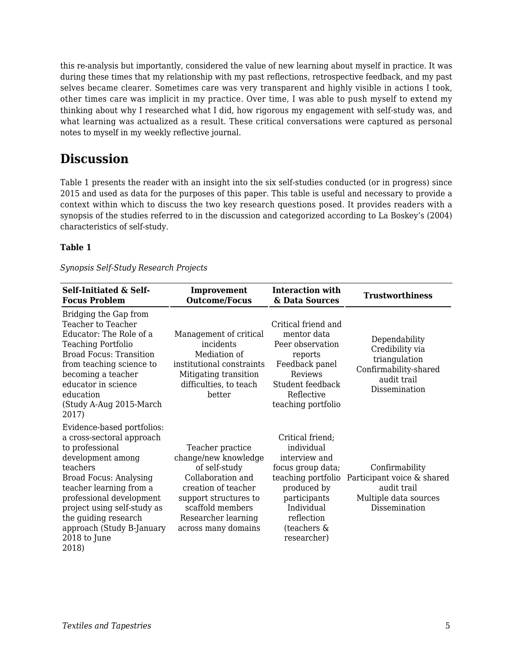this re-analysis but importantly, considered the value of new learning about myself in practice. It was during these times that my relationship with my past reflections, retrospective feedback, and my past selves became clearer. Sometimes care was very transparent and highly visible in actions I took, other times care was implicit in my practice. Over time, I was able to push myself to extend my thinking about why I researched what I did, how rigorous my engagement with self-study was, and what learning was actualized as a result. These critical conversations were captured as personal notes to myself in my weekly reflective journal.

#### **Discussion**

Table 1 presents the reader with an insight into the six self-studies conducted (or in progress) since 2015 and used as data for the purposes of this paper. This table is useful and necessary to provide a context within which to discuss the two key research questions posed. It provides readers with a synopsis of the studies referred to in the discussion and categorized according to La Boskey's (2004) characteristics of self-study.

#### **Table 1**

| Synopsis Self-Study Research Projects |  |
|---------------------------------------|--|
|                                       |  |

| <b>Self-Initiated &amp; Self-</b><br><b>Focus Problem</b>                                                                                                                                                                                                                                                        | Improvement<br><b>Outcome/Focus</b>                                                                                                                                                              | <b>Interaction with</b><br>& Data Sources                                                                                                                                           | <b>Trustworthiness</b>                                                                                     |
|------------------------------------------------------------------------------------------------------------------------------------------------------------------------------------------------------------------------------------------------------------------------------------------------------------------|--------------------------------------------------------------------------------------------------------------------------------------------------------------------------------------------------|-------------------------------------------------------------------------------------------------------------------------------------------------------------------------------------|------------------------------------------------------------------------------------------------------------|
| Bridging the Gap from<br>Teacher to Teacher<br>Educator: The Role of a<br><b>Teaching Portfolio</b><br><b>Broad Focus: Transition</b><br>from teaching science to<br>becoming a teacher<br>educator in science<br>education<br>(Study A-Aug 2015-March<br>2017)                                                  | Management of critical<br>incidents<br>Mediation of<br>institutional constraints<br>Mitigating transition<br>difficulties, to teach<br>better                                                    | Critical friend and<br>mentor data<br>Peer observation<br>reports<br>Feedback panel<br>Reviews<br>Student feedback<br>Reflective<br>teaching portfolio                              | Dependability<br>Credibility via<br>triangulation<br>Confirmability-shared<br>audit trail<br>Dissemination |
| Evidence-based portfolios:<br>a cross-sectoral approach<br>to professional<br>development among<br>teachers<br><b>Broad Focus: Analysing</b><br>teacher learning from a<br>professional development<br>project using self-study as<br>the guiding research<br>approach (Study B-January<br>2018 to June<br>2018) | Teacher practice<br>change/new knowledge<br>of self-study<br>Collaboration and<br>creation of teacher<br>support structures to<br>scaffold members<br>Researcher learning<br>across many domains | Critical friend;<br>individual<br>interview and<br>focus group data;<br>teaching portfolio<br>produced by<br>participants<br>Individual<br>reflection<br>(teachers &<br>researcher) | Confirmability<br>Participant voice & shared<br>audit trail<br>Multiple data sources<br>Dissemination      |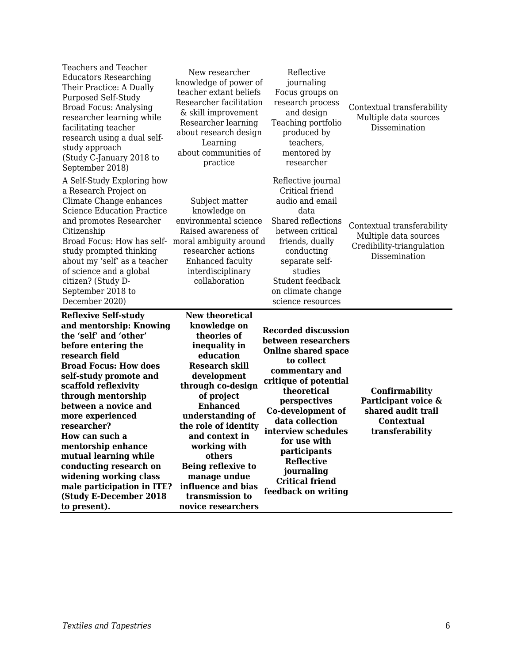| of science and a global<br>citizen? (Study D-<br>September 2018 to<br>December 2020)<br><b>Reflexive Self-study</b><br>and mentorship: Knowing<br>the 'self' and 'other'<br>before entering the<br>research field<br><b>Broad Focus: How does</b><br>self-study promote and<br>scaffold reflexivity<br>through mentorship<br>between a novice and<br>more experienced<br>researcher?<br>How can such a<br>mentorship enhance<br>mutual learning while<br>conducting research on<br>widening working class<br>male participation in ITE? | interdisciplinary<br>collaboration<br><b>New theoretical</b><br>knowledge on<br>theories of<br>inequality in<br>education<br><b>Research skill</b><br>development<br>through co-design<br>of project<br><b>Enhanced</b><br>understanding of<br>the role of identity<br>and context in<br>working with<br>others<br>Being reflexive to<br>manage undue<br>influence and bias | studies<br>Student feedback<br>on climate change<br>science resources<br><b>Recorded discussion</b><br>between researchers<br><b>Online shared space</b><br>to collect<br>commentary and<br>critique of potential<br>theoretical<br>perspectives<br>Co-development of<br>data collection<br>interview schedules<br>for use with<br>participants<br><b>Reflective</b><br>journaling<br><b>Critical friend</b><br>feedback on writing | Confirmability<br>Participant voice &<br>shared audit trail<br><b>Contextual</b><br>transferability |
|-----------------------------------------------------------------------------------------------------------------------------------------------------------------------------------------------------------------------------------------------------------------------------------------------------------------------------------------------------------------------------------------------------------------------------------------------------------------------------------------------------------------------------------------|-----------------------------------------------------------------------------------------------------------------------------------------------------------------------------------------------------------------------------------------------------------------------------------------------------------------------------------------------------------------------------|-------------------------------------------------------------------------------------------------------------------------------------------------------------------------------------------------------------------------------------------------------------------------------------------------------------------------------------------------------------------------------------------------------------------------------------|-----------------------------------------------------------------------------------------------------|
| A Self-Study Exploring how<br>a Research Project on<br>Climate Change enhances<br><b>Science Education Practice</b><br>and promotes Researcher<br>Citizenship<br>Broad Focus: How has self-<br>study prompted thinking<br>about my 'self' as a teacher                                                                                                                                                                                                                                                                                  | Subject matter<br>knowledge on<br>environmental science<br>Raised awareness of<br>moral ambiguity around<br>researcher actions<br>Enhanced faculty                                                                                                                                                                                                                          | Reflective journal<br>Critical friend<br>audio and email<br>data<br>Shared reflections<br>between critical<br>friends, dually<br>conducting<br>separate self-                                                                                                                                                                                                                                                                       | Contextual transferability<br>Multiple data sources<br>Credibility-triangulation<br>Dissemination   |
| <b>Teachers and Teacher</b><br><b>Educators Researching</b><br>Their Practice: A Dually<br><b>Purposed Self-Study</b><br><b>Broad Focus: Analysing</b><br>researcher learning while<br>facilitating teacher<br>research using a dual self-<br>study approach<br>(Study C-January 2018 to<br>September 2018)                                                                                                                                                                                                                             | New researcher<br>knowledge of power of<br>teacher extant beliefs<br>Researcher facilitation<br>& skill improvement<br>Researcher learning<br>about research design<br>Learning<br>about communities of<br>practice                                                                                                                                                         | Reflective<br>journaling<br>Focus groups on<br>research process<br>and design<br>Teaching portfolio<br>produced by<br>teachers,<br>mentored by<br>researcher                                                                                                                                                                                                                                                                        | Contextual transferability<br>Multiple data sources<br>Dissemination                                |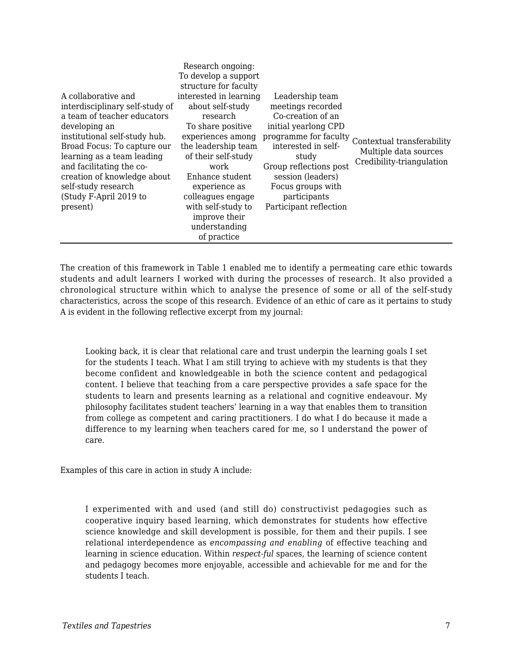|                                 | Research ongoing:      |                        |                            |
|---------------------------------|------------------------|------------------------|----------------------------|
|                                 | To develop a support   |                        |                            |
|                                 | structure for faculty  |                        |                            |
| A collaborative and             | interested in learning | Leadership team        |                            |
| interdisciplinary self-study of | about self-study       | meetings recorded      |                            |
| a team of teacher educators     | research               | Co-creation of an      |                            |
| developing an                   | To share positive      | initial yearlong CPD   |                            |
| institutional self-study hub.   | experiences among      | programme for faculty  | Contextual transferability |
| Broad Focus: To capture our     | the leadership team    | interested in self-    | Multiple data sources      |
| learning as a team leading      | of their self-study    | study                  | Credibility-triangulation  |
| and facilitating the co-        | work                   | Group reflections post |                            |
| creation of knowledge about     | Enhance student        | session (leaders)      |                            |
| self-study research             | experience as          | Focus groups with      |                            |
| (Study F-April 2019 to          | colleagues engage      | participants           |                            |
| present)                        | with self-study to     | Participant reflection |                            |
|                                 | improve their          |                        |                            |
|                                 | understanding          |                        |                            |
|                                 | of practice            |                        |                            |

The creation of this framework in Table 1 enabled me to identify a permeating care ethic towards students and adult learners I worked with during the processes of research. It also provided a chronological structure within which to analyse the presence of some or all of the self-study characteristics, across the scope of this research. Evidence of an ethic of care as it pertains to study A is evident in the following reflective excerpt from my journal:

Looking back, it is clear that relational care and trust underpin the learning goals I set for the students I teach. What I am still trying to achieve with my students is that they become confident and knowledgeable in both the science content and pedagogical content. I believe that teaching from a care perspective provides a safe space for the students to learn and presents learning as a relational and cognitive endeavour. My philosophy facilitates student teachers' learning in a way that enables them to transition from college as competent and caring practitioners. I do what I do because it made a difference to my learning when teachers cared for me, so I understand the power of care.

Examples of this care in action in study A include:

I experimented with and used (and still do) constructivist pedagogies such as cooperative inquiry based learning, which demonstrates for students how effective science knowledge and skill development is possible, for them and their pupils. I see relational interdependence as *encompassing and enabling* of effective teaching and learning in science education. Within *respect-ful* spaces, the learning of science content and pedagogy becomes more enjoyable, accessible and achievable for me and for the students I teach.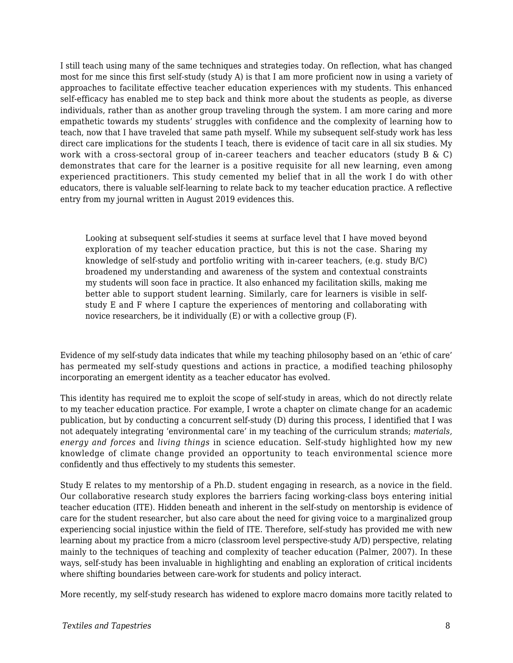I still teach using many of the same techniques and strategies today. On reflection, what has changed most for me since this first self-study (study A) is that I am more proficient now in using a variety of approaches to facilitate effective teacher education experiences with my students. This enhanced self-efficacy has enabled me to step back and think more about the students as people, as diverse individuals, rather than as another group traveling through the system. I am more caring and more empathetic towards my students' struggles with confidence and the complexity of learning how to teach, now that I have traveled that same path myself. While my subsequent self-study work has less direct care implications for the students I teach, there is evidence of tacit care in all six studies. My work with a cross-sectoral group of in-career teachers and teacher educators (study B  $\&$  C) demonstrates that care for the learner is a positive requisite for all new learning, even among experienced practitioners. This study cemented my belief that in all the work I do with other educators, there is valuable self-learning to relate back to my teacher education practice. A reflective entry from my journal written in August 2019 evidences this.

Looking at subsequent self-studies it seems at surface level that I have moved beyond exploration of my teacher education practice, but this is not the case. Sharing my knowledge of self-study and portfolio writing with in-career teachers, (e.g. study B/C) broadened my understanding and awareness of the system and contextual constraints my students will soon face in practice. It also enhanced my facilitation skills, making me better able to support student learning. Similarly, care for learners is visible in selfstudy E and F where I capture the experiences of mentoring and collaborating with novice researchers, be it individually (E) or with a collective group (F).

Evidence of my self-study data indicates that while my teaching philosophy based on an 'ethic of care' has permeated my self-study questions and actions in practice, a modified teaching philosophy incorporating an emergent identity as a teacher educator has evolved.

This identity has required me to exploit the scope of self-study in areas, which do not directly relate to my teacher education practice. For example, I wrote a chapter on climate change for an academic publication, but by conducting a concurrent self-study (D) during this process, I identified that I was not adequately integrating 'environmental care' in my teaching of the curriculum strands; *materials, energy and forces* and *living things* in science education. Self-study highlighted how my new knowledge of climate change provided an opportunity to teach environmental science more confidently and thus effectively to my students this semester.

Study E relates to my mentorship of a Ph.D. student engaging in research, as a novice in the field. Our collaborative research study explores the barriers facing working-class boys entering initial teacher education (ITE). Hidden beneath and inherent in the self-study on mentorship is evidence of care for the student researcher, but also care about the need for giving voice to a marginalized group experiencing social injustice within the field of ITE. Therefore, self-study has provided me with new learning about my practice from a micro (classroom level perspective-study A/D) perspective, relating mainly to the techniques of teaching and complexity of teacher education (Palmer, 2007). In these ways, self-study has been invaluable in highlighting and enabling an exploration of critical incidents where shifting boundaries between care-work for students and policy interact.

More recently, my self-study research has widened to explore macro domains more tacitly related to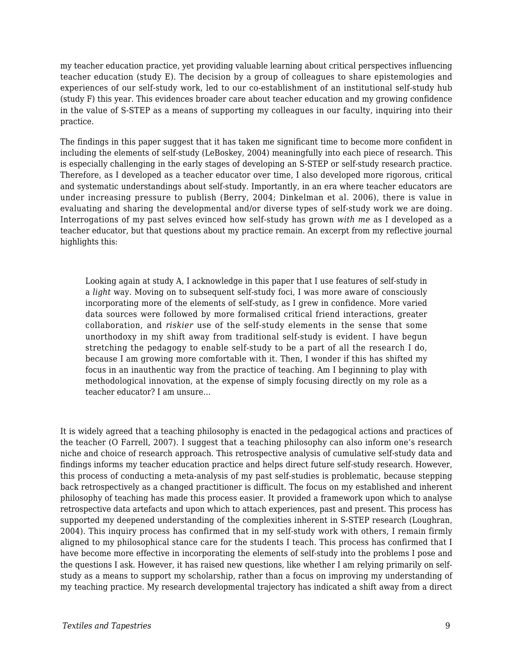my teacher education practice, yet providing valuable learning about critical perspectives influencing teacher education (study E). The decision by a group of colleagues to share epistemologies and experiences of our self-study work, led to our co-establishment of an institutional self-study hub (study F) this year. This evidences broader care about teacher education and my growing confidence in the value of S-STEP as a means of supporting my colleagues in our faculty, inquiring into their practice.

The findings in this paper suggest that it has taken me significant time to become more confident in including the elements of self-study (LeBoskey, 2004) meaningfully into each piece of research. This is especially challenging in the early stages of developing an S-STEP or self-study research practice. Therefore, as I developed as a teacher educator over time, I also developed more rigorous, critical and systematic understandings about self-study. Importantly, in an era where teacher educators are under increasing pressure to publish (Berry, 2004; Dinkelman et al. 2006), there is value in evaluating and sharing the developmental and/or diverse types of self-study work we are doing. Interrogations of my past selves evinced how self-study has grown *with me* as I developed as a teacher educator, but that questions about my practice remain. An excerpt from my reflective journal highlights this:

Looking again at study A, I acknowledge in this paper that I use features of self-study in a *light* way. Moving on to subsequent self-study foci, I was more aware of consciously incorporating more of the elements of self-study, as I grew in confidence. More varied data sources were followed by more formalised critical friend interactions, greater collaboration, and *riskier* use of the self-study elements in the sense that some unorthodoxy in my shift away from traditional self-study is evident. I have begun stretching the pedagogy to enable self-study to be a part of all the research I do, because I am growing more comfortable with it. Then, I wonder if this has shifted my focus in an inauthentic way from the practice of teaching. Am I beginning to play with methodological innovation, at the expense of simply focusing directly on my role as a teacher educator? I am unsure…

It is widely agreed that a teaching philosophy is enacted in the pedagogical actions and practices of the teacher (O Farrell, 2007). I suggest that a teaching philosophy can also inform one's research niche and choice of research approach. This retrospective analysis of cumulative self-study data and findings informs my teacher education practice and helps direct future self-study research. However, this process of conducting a meta-analysis of my past self-studies is problematic, because stepping back retrospectively as a changed practitioner is difficult. The focus on my established and inherent philosophy of teaching has made this process easier. It provided a framework upon which to analyse retrospective data artefacts and upon which to attach experiences, past and present. This process has supported my deepened understanding of the complexities inherent in S-STEP research (Loughran, 2004). This inquiry process has confirmed that in my self-study work with others, I remain firmly aligned to my philosophical stance care for the students I teach. This process has confirmed that I have become more effective in incorporating the elements of self-study into the problems I pose and the questions I ask. However, it has raised new questions, like whether I am relying primarily on selfstudy as a means to support my scholarship, rather than a focus on improving my understanding of my teaching practice. My research developmental trajectory has indicated a shift away from a direct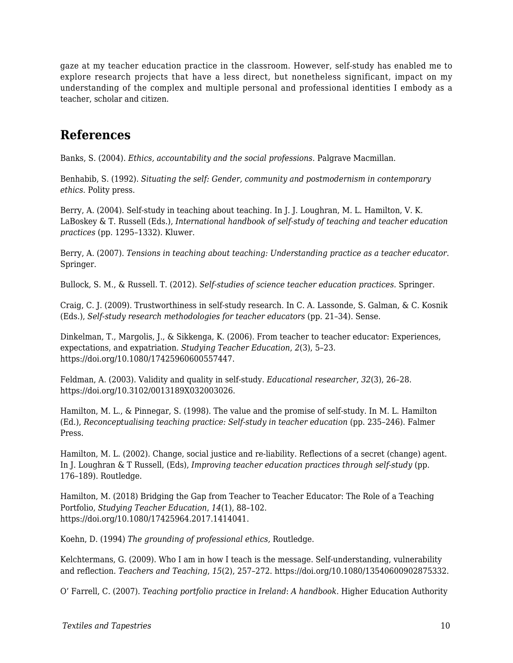gaze at my teacher education practice in the classroom. However, self-study has enabled me to explore research projects that have a less direct, but nonetheless significant, impact on my understanding of the complex and multiple personal and professional identities I embody as a teacher, scholar and citizen.

#### **References**

Banks, S. (2004). *Ethics, accountability and the social professions.* Palgrave Macmillan.

Benhabib, S. (1992). *Situating the self: Gender, community and postmodernism in contemporary ethics.* Polity press.

Berry, A. (2004). Self-study in teaching about teaching. In J. J. Loughran, M. L. Hamilton, V. K. LaBoskey & T. Russell (Eds.), *International handbook of self-study of teaching and teacher education practices* (pp. 1295–1332). Kluwer.

Berry, A. (2007). *Tensions in teaching about teaching: Understanding practice as a teacher educator*. Springer.

Bullock, S. M., & Russell. T. (2012). *Self-studies of science teacher education practices.* Springer.

Craig, C. J. (2009). Trustworthiness in self-study research. In C. A. Lassonde, S. Galman, & C. Kosnik (Eds.), *Self-study research methodologies for teacher educators* (pp. 21–34). Sense.

Dinkelman, T., Margolis, J., & Sikkenga, K. (2006). From teacher to teacher educator: Experiences, expectations, and expatriation. *Studying Teacher Education*, *2*(3), 5–23. https://doi.org/10.1080/17425960600557447.

Feldman, A. (2003). Validity and quality in self-study. *Educational researcher*, *32*(3), 26–28. https://doi.org/10.3102/0013189X032003026.

Hamilton, M. L., & Pinnegar, S. (1998). The value and the promise of self-study. In M. L. Hamilton (Ed.), *Reconceptualising teaching practice: Self-study in teacher education* (pp. 235–246). Falmer Press.

Hamilton, M. L. (2002). Change, social justice and re-liability. Reflections of a secret (change) agent. In J. Loughran & T Russell, (Eds), *Improving teacher education practices through self-study* (pp. 176–189). Routledge.

Hamilton, M. (2018) Bridging the Gap from Teacher to Teacher Educator: The Role of a Teaching Portfolio, *Studying Teacher Education*, *14*(1), 88–102. https://doi.org/10.1080/17425964.2017.1414041.

Koehn, D. (1994) *The grounding of professional ethics,* Routledge.

Kelchtermans, G. (2009). Who I am in how I teach is the message. Self-understanding, vulnerability and reflection. *Teachers and Teaching*, *15*(2), 257–272. https://doi.org/10.1080/13540600902875332.

O' Farrell, C. (2007). *Teaching portfolio practice in Ireland*: *A handbook.* Higher Education Authority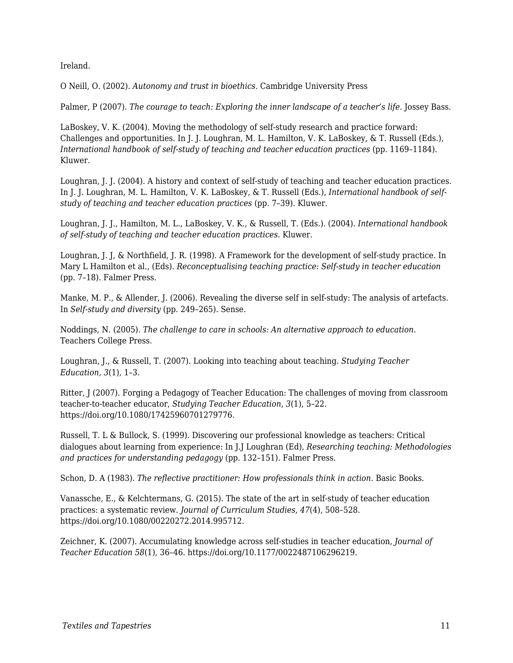Ireland.

O Neill, O. (2002). *Autonomy and trust in bioethics.* Cambridge University Press

Palmer, P (2007). *The courage to teach: Exploring the inner landscape of a teacher's life*. Jossey Bass.

LaBoskey, V. K. (2004). Moving the methodology of self-study research and practice forward: Challenges and opportunities. In J. J. Loughran, M. L. Hamilton, V. K. LaBoskey, & T. Russell (Eds.), *International handbook of self-study of teaching and teacher education practices (pp. 1169-1184).* Kluwer.

Loughran, J. J. (2004). A history and context of self-study of teaching and teacher education practices. In J. J. Loughran, M. L. Hamilton, V. K. LaBoskey, & T. Russell (Eds.), *International handbook of selfstudy of teaching and teacher education practices* (pp. 7–39). Kluwer.

Loughran, J. J., Hamilton, M. L., LaBoskey, V. K., & Russell, T. (Eds.). (2004). *International handbook of self-study of teaching and teacher education practices*. Kluwer.

Loughran, J. J, & Northfield, J. R. (1998). A Framework for the development of self-study practice. In Mary L Hamilton et al., (Eds). *Reconceptualising teaching practice: Self-study in teacher education* (pp. 7–18). Falmer Press.

Manke, M. P., & Allender, J. (2006). Revealing the diverse self in self-study: The analysis of artefacts. In *Self-study and diversity* (pp. 249–265). Sense.

Noddings, N. (2005). *The challenge to care in schools: An alternative approach to education.* Teachers College Press.

Loughran, J., & Russell, T. (2007). Looking into teaching about teaching. *Studying Teacher Education, 3*(1), 1–3.

Ritter, J (2007). Forging a Pedagogy of Teacher Education: The challenges of moving from classroom teacher-to-teacher educator, *Studying Teacher Education*, *3*(1), 5–22. https://doi.org/10.1080/17425960701279776.

Russell, T. L & Bullock, S. (1999). Discovering our professional knowledge as teachers: Critical dialogues about learning from experience: In J.J Loughran (Ed), *Researching teaching: Methodologies and practices for understanding pedagogy* (pp. 132–151). Falmer Press.

Schon, D. A (1983). *The reflective practitioner: How professionals think in action*. Basic Books.

Vanassche, E., & Kelchtermans, G. (2015). The state of the art in self-study of teacher education practices: a systematic review. *Journal of Curriculum Studies*, *47*(4), 508–528. https://doi.org/10.1080/00220272.2014.995712.

Zeichner, K. (2007). Accumulating knowledge across self-studies in teacher education, *Journal of Teacher Education 58*(1), 36–46. https://doi.org/10.1177/0022487106296219.